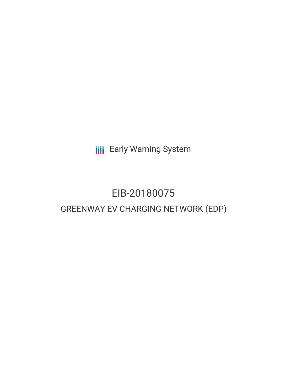**III** Early Warning System

## EIB-20180075 GREENWAY EV CHARGING NETWORK (EDP)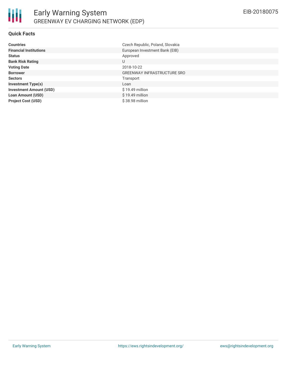

#### **Quick Facts**

| <b>Countries</b>               | Czech Republic, Poland, Slovakia   |
|--------------------------------|------------------------------------|
| <b>Financial Institutions</b>  | European Investment Bank (EIB)     |
| <b>Status</b>                  | Approved                           |
| <b>Bank Risk Rating</b>        | U                                  |
| <b>Voting Date</b>             | 2018-10-22                         |
| <b>Borrower</b>                | <b>GREENWAY INFRASTRUCTURE SRO</b> |
| <b>Sectors</b>                 | Transport                          |
| <b>Investment Type(s)</b>      | Loan                               |
| <b>Investment Amount (USD)</b> | $$19.49$ million                   |
| <b>Loan Amount (USD)</b>       | $$19.49$ million                   |
| <b>Project Cost (USD)</b>      | \$38.98 million                    |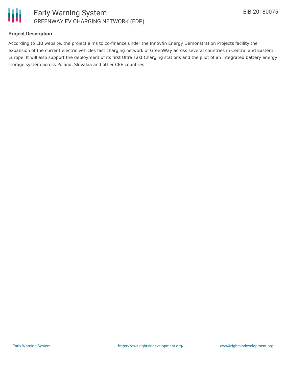



#### **Project Description**

According to EIB website, the project aims to co-finance under the Innovfin Energy Demonstration Projects facility the expansion of the current electric vehicles fast charging network of GreenWay across several countries in Central and Eastern Europe. It will also support the deployment of its first Ultra Fast Charging stations and the pilot of an integrated battery energy storage system across Poland, Slovakia and other CEE countries.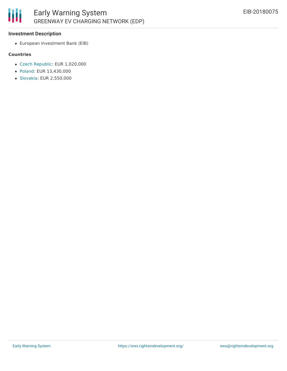

#### **Investment Description**

European Investment Bank (EIB)

#### **Countries**

- Czech [Republic](http://www.eib.org/en/projects/loan/list?region=1&country=CZ): EUR 1,020,000
- [Poland](http://www.eib.org/en/projects/loan/list?region=1&country=PL): EUR 13,430,000
- [Slovakia:](http://www.eib.org/en/projects/loan/list?region=1&country=SK) EUR 2,550,000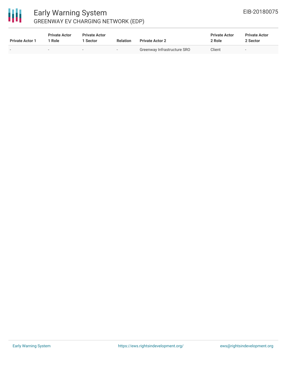# 冊

### Early Warning System GREENWAY EV CHARGING NETWORK (EDP)

| <b>Private Actor 1</b> | <b>Private Actor</b><br>' Role | <b>Private Actor</b><br>Sector | <b>Relation</b>          | <b>Private Actor 2</b>      | <b>Private Actor</b><br>2 Role | <b>Private Actor</b><br>2 Sector |  |
|------------------------|--------------------------------|--------------------------------|--------------------------|-----------------------------|--------------------------------|----------------------------------|--|
|                        |                                |                                | $\overline{\phantom{0}}$ | Greenway Infrastructure SRO | Client                         | $-$                              |  |